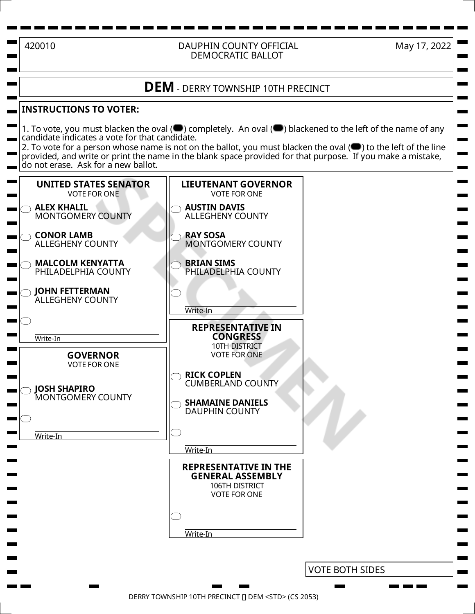## 420010 DAUPHIN COUNTY OFFICIAL DEMOCRATIC BALLOT

## **DEM** - DERRY TOWNSHIP 10TH PRECINCT

## **INSTRUCTIONS TO VOTER:**

1. To vote, you must blacken the oval (**iii**) completely. An oval (**iii**) blackened to the left of the name of any candidate indicates a vote for that candidate.

2. To vote for a person whose name is not on the ballot, you must blacken the oval  $($ **)** to the left of the line provided, and write or print the name in the blank space provided for that purpose. If you make a mistake, do not erase. Ask for a new ballot.



VOTE BOTH SIDES